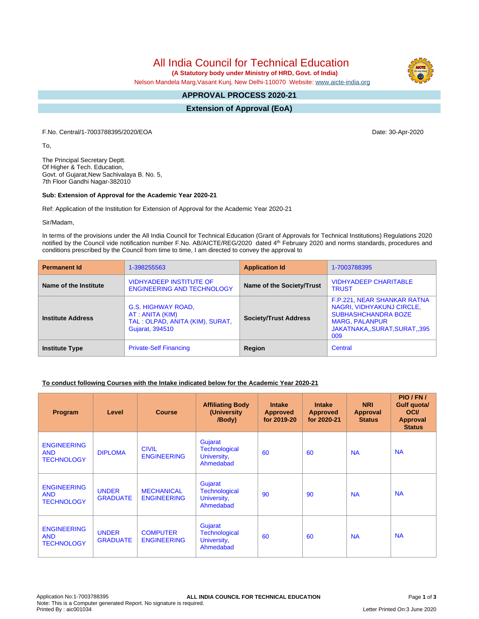All India Council for Technical Education

 **(A Statutory body under Ministry of HRD, Govt. of India)**

Nelson Mandela Marg,Vasant Kunj, New Delhi-110070 Website: [www.aicte-india.org](http://www.aicte-india.org)

#### **APPROVAL PROCESS 2020-21 -**

**Extension of Approval (EoA)**

F.No. Central/1-7003788395/2020/EOA Date: 30-Apr-2020

To,

The Principal Secretary Deptt. Of Higher & Tech. Education, Govt. of Gujarat,New Sachivalaya B. No. 5, 7th Floor Gandhi Nagar-382010

#### **Sub: Extension of Approval for the Academic Year 2020-21**

Ref: Application of the Institution for Extension of Approval for the Academic Year 2020-21

Sir/Madam,

In terms of the provisions under the All India Council for Technical Education (Grant of Approvals for Technical Institutions) Regulations 2020 notified by the Council vide notification number F.No. AB/AICTE/REG/2020 dated 4<sup>th</sup> February 2020 and norms standards, procedures and conditions prescribed by the Council from time to time, I am directed to convey the approval to

| <b>Permanent Id</b>      | 1-398255563                                                                                  | <b>Application Id</b>        | 1-7003788395                                                                                                                                           |
|--------------------------|----------------------------------------------------------------------------------------------|------------------------------|--------------------------------------------------------------------------------------------------------------------------------------------------------|
| Name of the Institute    | <b>VIDHYADEEP INSTITUTE OF</b><br><b>ENGINEERING AND TECHNOLOGY</b>                          | Name of the Society/Trust    | <b>VIDHYADEEP CHARITABLE</b><br><b>TRUST</b>                                                                                                           |
| <b>Institute Address</b> | G.S. HIGHWAY ROAD,<br>AT : ANITA (KIM)<br>TAL: OLPAD, ANITA (KIM), SURAT,<br>Gujarat, 394510 | <b>Society/Trust Address</b> | F.P.221, NEAR SHANKAR RATNA<br>NAGRI, VIDHYAKUNJ CIRCLE,<br><b>SUBHASHCHANDRA BOZE</b><br><b>MARG, PALANPUR</b><br>JAKATNAKA, SURAT, SURAT, 395<br>009 |
| <b>Institute Type</b>    | <b>Private-Self Financing</b>                                                                | Region                       | Central                                                                                                                                                |

### **To conduct following Courses with the Intake indicated below for the Academic Year 2020-21**

| Program                                               | Level                           | <b>Course</b>                           | <b>Affiliating Body</b><br>(University)<br>/Body)           | <b>Intake</b><br><b>Approved</b><br>for 2019-20 | <b>Intake</b><br><b>Approved</b><br>for 2020-21 | <b>NRI</b><br>Approval<br><b>Status</b> | PIO/FN/<br>Gulf quota/<br><b>OCI</b><br><b>Approval</b><br><b>Status</b> |
|-------------------------------------------------------|---------------------------------|-----------------------------------------|-------------------------------------------------------------|-------------------------------------------------|-------------------------------------------------|-----------------------------------------|--------------------------------------------------------------------------|
| <b>ENGINEERING</b><br><b>AND</b><br><b>TECHNOLOGY</b> | <b>DIPLOMA</b>                  | <b>CIVIL</b><br><b>ENGINEERING</b>      | Gujarat<br><b>Technological</b><br>University,<br>Ahmedabad | 60                                              | 60                                              | <b>NA</b>                               | <b>NA</b>                                                                |
| <b>ENGINEERING</b><br><b>AND</b><br><b>TECHNOLOGY</b> | <b>UNDER</b><br><b>GRADUATE</b> | <b>MECHANICAL</b><br><b>ENGINEERING</b> | Gujarat<br><b>Technological</b><br>University,<br>Ahmedabad | 90                                              | 90                                              | <b>NA</b>                               | <b>NA</b>                                                                |
| <b>ENGINEERING</b><br><b>AND</b><br><b>TECHNOLOGY</b> | <b>UNDER</b><br><b>GRADUATE</b> | <b>COMPUTER</b><br><b>ENGINEERING</b>   | Gujarat<br><b>Technological</b><br>University,<br>Ahmedabad | 60                                              | 60                                              | <b>NA</b>                               | <b>NA</b>                                                                |

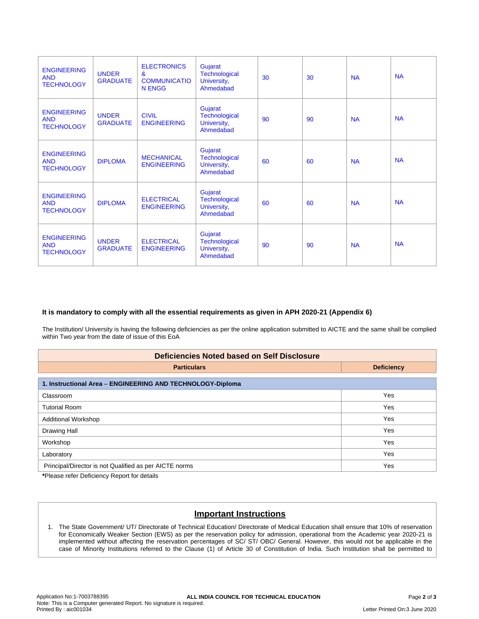| <b>ENGINEERING</b><br><b>AND</b><br><b>TECHNOLOGY</b> | <b>UNDER</b><br><b>GRADUATE</b> | <b>ELECTRONICS</b><br>$\mathbf{a}$<br><b>COMMUNICATIO</b><br>N ENGG | Gujarat<br><b>Technological</b><br>University,<br>Ahmedabad | 30 | 30 | <b>NA</b> | <b>NA</b> |
|-------------------------------------------------------|---------------------------------|---------------------------------------------------------------------|-------------------------------------------------------------|----|----|-----------|-----------|
| <b>ENGINEERING</b><br><b>AND</b><br><b>TECHNOLOGY</b> | <b>UNDER</b><br><b>GRADUATE</b> | <b>CIVIL</b><br><b>ENGINEERING</b>                                  | Gujarat<br><b>Technological</b><br>University,<br>Ahmedabad | 90 | 90 | <b>NA</b> | <b>NA</b> |
| <b>ENGINEERING</b><br><b>AND</b><br><b>TECHNOLOGY</b> | <b>DIPLOMA</b>                  | <b>MECHANICAL</b><br><b>ENGINEERING</b>                             | Gujarat<br><b>Technological</b><br>University,<br>Ahmedabad | 60 | 60 | <b>NA</b> | <b>NA</b> |
| <b>ENGINEERING</b><br><b>AND</b><br><b>TECHNOLOGY</b> | <b>DIPLOMA</b>                  | <b>ELECTRICAL</b><br><b>ENGINEERING</b>                             | Gujarat<br><b>Technological</b><br>University,<br>Ahmedabad | 60 | 60 | <b>NA</b> | <b>NA</b> |
| <b>ENGINEERING</b><br><b>AND</b><br><b>TECHNOLOGY</b> | <b>UNDER</b><br><b>GRADUATE</b> | <b>ELECTRICAL</b><br><b>ENGINEERING</b>                             | Gujarat<br><b>Technological</b><br>University,<br>Ahmedabad | 90 | 90 | <b>NA</b> | <b>NA</b> |

## **It is mandatory to comply with all the essential requirements as given in APH 2020-21 (Appendix 6)**

The Institution/ University is having the following deficiencies as per the online application submitted to AICTE and the same shall be complied within Two year from the date of issue of this EoA

| <b>Deficiencies Noted based on Self Disclosure</b>         |                   |  |  |  |
|------------------------------------------------------------|-------------------|--|--|--|
| <b>Particulars</b>                                         | <b>Deficiency</b> |  |  |  |
| 1. Instructional Area - ENGINEERING AND TECHNOLOGY-Diploma |                   |  |  |  |
| Classroom                                                  | Yes               |  |  |  |
| <b>Tutorial Room</b>                                       | Yes               |  |  |  |
| <b>Additional Workshop</b>                                 | Yes               |  |  |  |
| Drawing Hall                                               | Yes               |  |  |  |
| Workshop                                                   | Yes               |  |  |  |
| Laboratory                                                 | Yes               |  |  |  |
| Principal/Director is not Qualified as per AICTE norms     | Yes               |  |  |  |

**\***Please refer Deficiency Report for details

# **Important Instructions**

1. The State Government/ UT/ Directorate of Technical Education/ Directorate of Medical Education shall ensure that 10% of reservation for Economically Weaker Section (EWS) as per the reservation policy for admission, operational from the Academic year 2020-21 is implemented without affecting the reservation percentages of SC/ ST/ OBC/ General. However, this would not be applicable in the case of Minority Institutions referred to the Clause (1) of Article 30 of Constitution of India. Such Institution shall be permitted to